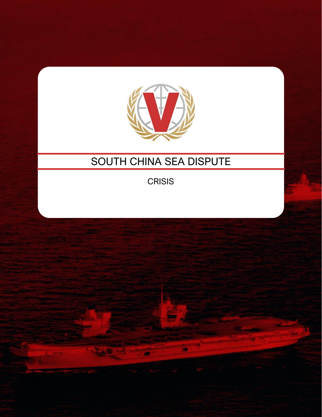

# SOUTH CHINA SEA DISPUTE

**CRISIS**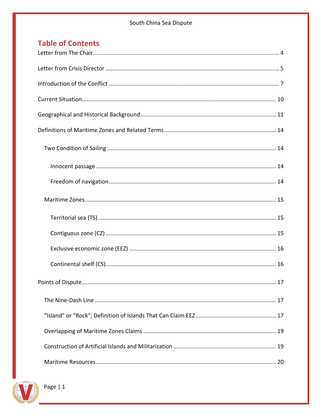## **Table of Contents**

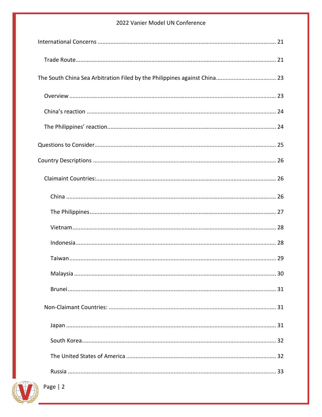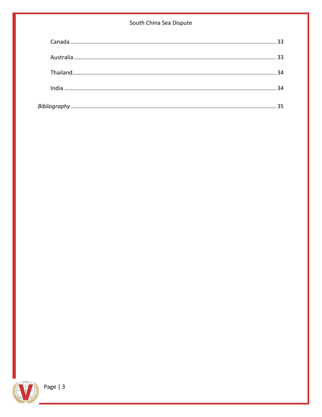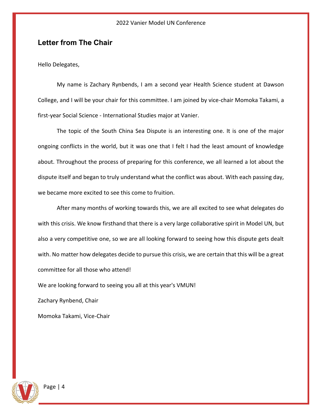## <span id="page-4-0"></span>**Letter from The Chair**

Hello Delegates,

My name is Zachary Rynbends, I am a second year Health Science student at Dawson College, and I will be your chair for this committee. I am joined by vice-chair Momoka Takami, a first-year Social Science - International Studies major at Vanier.

The topic of the South China Sea Dispute is an interesting one. It is one of the major ongoing conflicts in the world, but it was one that I felt I had the least amount of knowledge about. Throughout the process of preparing for this conference, we all learned a lot about the dispute itself and began to truly understand what the conflict was about. With each passing day, we became more excited to see this come to fruition.

After many months of working towards this, we are all excited to see what delegates do with this crisis. We know firsthand that there is a very large collaborative spirit in Model UN, but also a very competitive one, so we are all looking forward to seeing how this dispute gets dealt with. No matter how delegates decide to pursue this crisis, we are certain that this will be a great committee for all those who attend!

We are looking forward to seeing you all at this year's VMUN!

Zachary Rynbend, Chair

Momoka Takami, Vice-Chair

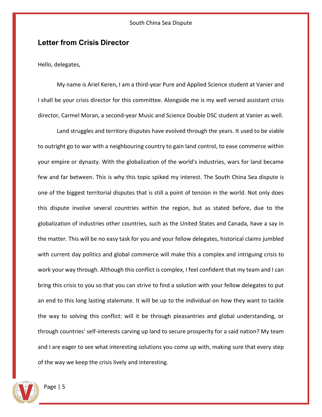## <span id="page-5-0"></span>**Letter from Crisis Director**

Hello, delegates,

My name is Ariel Keren, I am a third-year Pure and Applied Science student at Vanier and I shall be your crisis director for this committee. Alongside me is my well versed assistant crisis director, Carmel Moran, a second-year Music and Science Double DSC student at Vanier as well.

Land struggles and territory disputes have evolved through the years. It used to be viable to outright go to war with a neighbouring country to gain land control, to ease commerce within your empire or dynasty. With the globalization of the world's industries, wars for land became few and far between. This is why this topic spiked my interest. The South China Sea dispute is one of the biggest territorial disputes that is still a point of tension in the world. Not only does this dispute involve several countries within the region, but as stated before, due to the globalization of industries other countries, such as the United States and Canada, have a say in the matter. This will be no easy task for you and your fellow delegates, historical claims jumbled with current day politics and global commerce will make this a complex and intriguing crisis to work your way through. Although this conflict is complex, I feel confident that my team and I can bring this crisis to you so that you can strive to find a solution with your fellow delegates to put an end to this long lasting stalemate. It will be up to the individual on how they want to tackle the way to solving this conflict: will it be through pleasantries and global understanding, or through countries' self-interests carving up land to secure prosperity for a said nation? My team and I are eager to see what interesting solutions you come up with, making sure that every step of the way we keep the crisis lively and interesting.

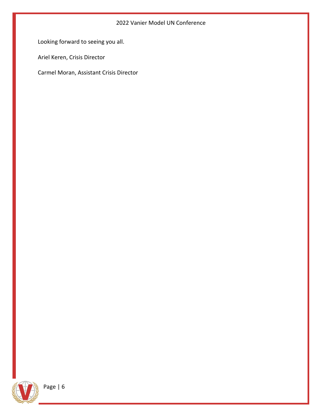Looking forward to seeing you all.

Ariel Keren, Crisis Director

Carmel Moran, Assistant Crisis Director

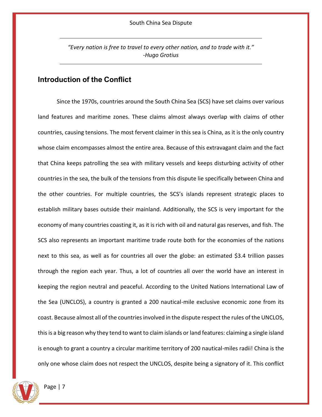*"Every nation is free to travel to every other nation, and to trade with it." -Hugo Grotius*

## <span id="page-7-0"></span>**Introduction of the Conflict**

Since the 1970s, countries around the South China Sea (SCS) have set claims over various land features and maritime zones. These claims almost always overlap with claims of other countries, causing tensions. The most fervent claimer in this sea is China, as it is the only country whose claim encompasses almost the entire area. Because of this extravagant claim and the fact that China keeps patrolling the sea with military vessels and keeps disturbing activity of other countries in the sea, the bulk of the tensions from this dispute lie specifically between China and the other countries. For multiple countries, the SCS's islands represent strategic places to establish military bases outside their mainland. Additionally, the SCS is very important for the economy of many countries coasting it, as it is rich with oil and natural gas reserves, and fish. The SCS also represents an important maritime trade route both for the economies of the nations next to this sea, as well as for countries all over the globe: an estimated \$3.4 trillion passes through the region each year. Thus, a lot of countries all over the world have an interest in keeping the region neutral and peaceful. According to the United Nations International Law of the Sea (UNCLOS), a country is granted a 200 nautical-mile exclusive economic zone from its coast. Because almost all of the countries involved in the dispute respect the rules of the UNCLOS, this is a big reason why they tend to want to claim islands or land features: claiming a single island is enough to grant a country a circular maritime territory of 200 nautical-miles radii! China is the only one whose claim does not respect the UNCLOS, despite being a signatory of it. This conflict

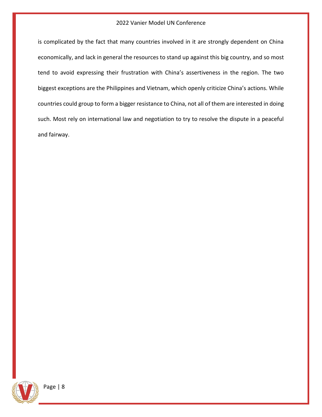is complicated by the fact that many countries involved in it are strongly dependent on China economically, and lack in general the resources to stand up against this big country, and so most tend to avoid expressing their frustration with China's assertiveness in the region. The two biggest exceptions are the Philippines and Vietnam, which openly criticize China's actions. While countries could group to form a bigger resistance to China, not all of them are interested in doing such. Most rely on international law and negotiation to try to resolve the dispute in a peaceful and fairway.

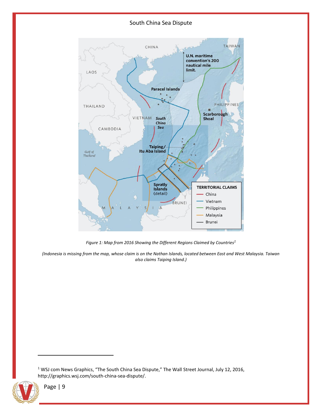

*Figure 1: Map from 2016 Showing the Different Regions Claimed by Countries<sup>1</sup>*

*(Indonesia is missing from the map, whose claim is on the Nathan Islands, located between East and West Malaysia. Taiwan also claims Taiping Island.)*

<sup>1</sup> WSJ com News Graphics, "The South China Sea Dispute," The Wall Street Journal, July 12, 2016, [http://graphics.wsj.com/south-china-sea-dispute/.](http://graphics.wsj.com/south-china-sea-dispute/)

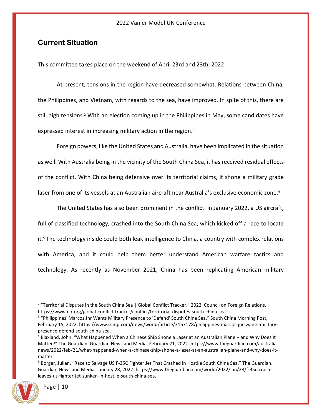## <span id="page-10-0"></span>**Current Situation**

This committee takes place on the weekend of April 23rd and 23th, 2022.

At present, tensions in the region have decreased somewhat. Relations between China, the Philippines, and Vietnam, with regards to the sea, have improved. In spite of this, there are still high tensions.<sup>2</sup> With an election coming up in the Philippines in May, some candidates have expressed interest in increasing military action in the region.<sup>3</sup>

Foreign powers, like the United States and Australia, have been implicated in the situation as well. With Australia being in the vicinity of the South China Sea, it has received residual effects of the conflict. With China being defensive over its territorial claims, it shone a military grade laser from one of its vessels at an Australian aircraft near Australia's exclusive economic zone.<sup>4</sup>

The United States has also been prominent in the conflict. In January 2022, a US aircraft, full of classified technology, crashed into the South China Sea, which kicked off a race to locate it.<sup>5</sup> The technology inside could both leak intelligence to China, a country with complex relations with America, and it could help them better understand American warfare tactics and technology. As recently as November 2021, China has been replicating American military

<sup>5</sup> Borger, Julian. "Race to Salvage US F-35C Fighter Jet That Crashed in Hostile South China Sea." The Guardian. Guardian News and Media, January 28, 2022. [https://www.theguardian.com/world/2022/jan/28/f-35c-crash](https://www.theguardian.com/world/2022/jan/28/f-35c-crash-leaves-us-fighter-jet-sunken-in-hostile-south-china-sea)[leaves-us-fighter-jet-sunken-in-hostile-south-china-sea.](https://www.theguardian.com/world/2022/jan/28/f-35c-crash-leaves-us-fighter-jet-sunken-in-hostile-south-china-sea)



<sup>&</sup>lt;sup>2</sup> "Territorial Disputes in the South China Sea | Global Conflict Tracker." 2022. Council on Foreign Relations. [https://www.cfr.org/global-conflict-tracker/conflict/territorial-disputes-south-china-sea.](https://www.cfr.org/global-conflict-tracker/conflict/territorial-disputes-south-china-sea)

<sup>&</sup>lt;sup>3</sup> "Philippines' Marcos Jnr Wants Military Presence to 'Defend' South China Sea." South China Morning Post, February 15, 2022[. https://www.scmp.com/news/world/article/3167178/philippines-marcos-jnr-wants-military](https://www.scmp.com/news/world/article/3167178/philippines-marcos-jnr-wants-military-presence-defend-south-china-sea)[presence-defend-south-china-sea.](https://www.scmp.com/news/world/article/3167178/philippines-marcos-jnr-wants-military-presence-defend-south-china-sea)

<sup>4</sup> Blaxland, John. "What Happened When a Chinese Ship Shone a Laser at an Australian Plane – and Why Does It Matter?" The Guardian. Guardian News and Media, February 21, 2022. [https://www.theguardian.com/australia](https://www.theguardian.com/australia-news/2022/feb/21/what-happened-when-a-chinese-ship-shone-a-laser-at-an-australian-plane-and-why-does-it-matter)[news/2022/feb/21/what-happened-when-a-chinese-ship-shone-a-laser-at-an-australian-plane-and-why-does-it](https://www.theguardian.com/australia-news/2022/feb/21/what-happened-when-a-chinese-ship-shone-a-laser-at-an-australian-plane-and-why-does-it-matter)[matter.](https://www.theguardian.com/australia-news/2022/feb/21/what-happened-when-a-chinese-ship-shone-a-laser-at-an-australian-plane-and-why-does-it-matter)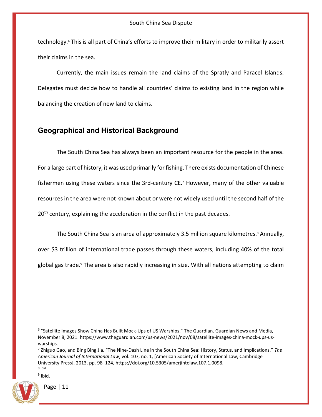technology.<sup>6</sup> This is all part of China's efforts to improve their military in order to militarily assert their claims in the sea.

Currently, the main issues remain the land claims of the Spratly and Paracel Islands. Delegates must decide how to handle all countries' claims to existing land in the region while balancing the creation of new land to claims.

## <span id="page-11-0"></span>**Geographical and Historical Background**

The South China Sea has always been an important resource for the people in the area. For a large part of history, it was used primarily for fishing. There exists documentation of Chinese fishermen using these waters since the 3rd-century CE.<sup>7</sup> However, many of the other valuable resources in the area were not known about or were not widely used until the second half of the 20<sup>th</sup> century, explaining the acceleration in the conflict in the past decades.

The South China Sea is an area of approximately 3.5 million square kilometres.<sup>8</sup> Annually, over \$3 trillion of international trade passes through these waters, including 40% of the total global gas trade.<sup>9</sup> The area is also rapidly increasing in size. With all nations attempting to claim

<sup>&</sup>lt;sup>9</sup> Ibid.



<sup>&</sup>lt;sup>6</sup> "Satellite Images Show China Has Built Mock-Ups of US Warships." The Guardian. Guardian News and Media, November 8, 2021. [https://www.theguardian.com/us-news/2021/nov/08/satellite-images-china-mock-ups-us](https://www.theguardian.com/us-news/2021/nov/08/satellite-images-china-mock-ups-us-warships)[warships.](https://www.theguardian.com/us-news/2021/nov/08/satellite-images-china-mock-ups-us-warships)

<sup>7</sup> Zhiguo Gao, and Bing Bing Jia. "The Nine-Dash Line in the South China Sea: History, Status, and Implications." *The American Journal of International Law*, vol. 107, no. 1, [American Society of International Law, Cambridge University Press], 2013, pp. 98–124, https://doi.org/10.5305/amerjintelaw.107.1.0098. 8 Ibid.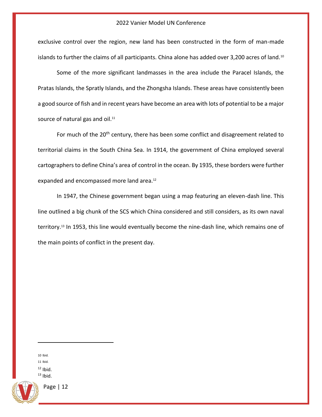exclusive control over the region, new land has been constructed in the form of man-made islands to further the claims of all participants. China alone has added over 3,200 acres of land.<sup>10</sup>

Some of the more significant landmasses in the area include the Paracel Islands, the Pratas Islands, the Spratly Islands, and the Zhongsha Islands. These areas have consistently been a good source of fish and in recent years have become an area with lots of potential to be a major source of natural gas and oil.<sup>11</sup>

For much of the 20<sup>th</sup> century, there has been some conflict and disagreement related to territorial claims in the South China Sea. In 1914, the government of China employed several cartographers to define China's area of control in the ocean. By 1935, these borders were further expanded and encompassed more land area.<sup>12</sup>

In 1947, the Chinese government began using a map featuring an eleven-dash line. This line outlined a big chunk of the SCS which China considered and still considers, as its own naval territory.<sup>13</sup> In 1953, this line would eventually become the nine-dash line, which remains one of the main points of conflict in the present day.

10 Ibid. 11 Ibid.  $12$  Ibid.

 $13$  Ibid.

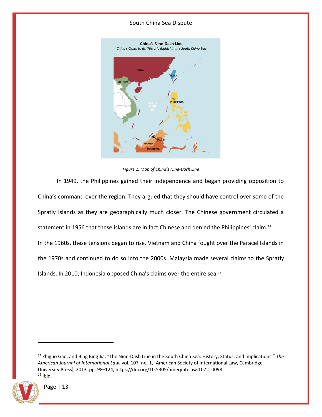

*Figure 2: Map of China's Nine-Dash Line*

In 1949, the Philippines gained their independence and began providing opposition to China's command over the region. They argued that they should have control over some of the Spratly Islands as they are geographically much closer. The Chinese government circulated a statement in 1956 that these islands are in fact Chinese and denied the Philippines' claim.<sup>14</sup> In the 1960s, these tensions began to rise. Vietnam and China fought over the Paracel Islands in the 1970s and continued to do so into the 2000s. Malaysia made several claims to the Spratly Islands. In 2010, Indonesia opposed China's claims over the entire sea.<sup>15</sup>

<sup>14</sup> Zhiguo Gao, and Bing Bing Jia. "The Nine-Dash Line in the South China Sea: History, Status, and Implications." *The American Journal of International Law*, vol. 107, no. 1, [American Society of International Law, Cambridge University Press], 2013, pp. 98–124, https://doi.org/10.5305/amerjintelaw.107.1.0098.  $15$  Ibid.

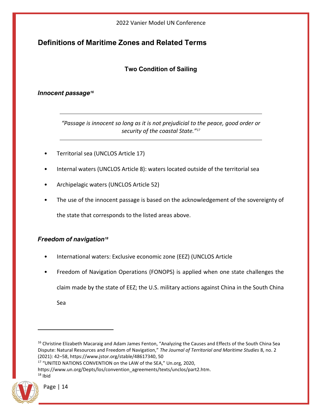## <span id="page-14-1"></span><span id="page-14-0"></span>**Definitions of Maritime Zones and Related Terms**

## **Two Condition of Sailing**

## <span id="page-14-2"></span>*Innocent passage<sup>16</sup>*

*"Passage is innocent so long as it is not prejudicial to the peace, good order or security of the coastal State."<sup>17</sup>*

- Territorial sea (UNCLOS Article 17)
- Internal waters (UNCLOS Article 8): waters located outside of the territorial sea
- Archipelagic waters (UNCLOS Article 52)
- The use of the innocent passage is based on the acknowledgement of the sovereignty of the state that corresponds to the listed areas above.

## <span id="page-14-3"></span>*Freedom of navigation<sup>18</sup>*

- International waters: Exclusive economic zone (EEZ) (UNCLOS Article
- Freedom of Navigation Operations (FONOPS) is applied when one state challenges the

claim made by the state of EEZ; the U.S. military actions against China in the South China

Sea

<sup>17</sup> "UNITED NATIONS CONVENTION on the LAW of the SEA," Un.org, 2020,

[https://www.un.org/Depts/los/convention\\_agreements/texts/unclos/part2.htm.](https://www.un.org/Depts/los/convention_agreements/texts/unclos/part2.htm)  $18$  Ibid



<sup>&</sup>lt;sup>16</sup> Christine Elizabeth Macaraig and Adam James Fenton, "Analyzing the Causes and Effects of the South China Sea Dispute: Natural Resources and Freedom of Navigation," *The Journal of Territorial and Maritime Studies* 8, no. 2 (2021): 42–58, [https://www.jstor.org/stable/48617340,](https://www.jstor.org/stable/48617340) 50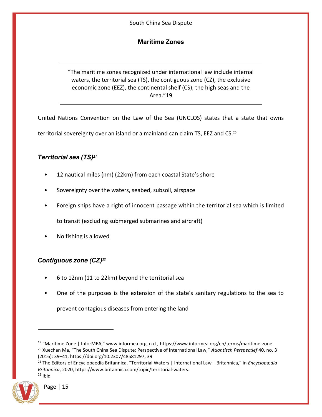## **Maritime Zones**

<span id="page-15-0"></span>"The maritime zones recognized under international law include internal waters, the territorial sea (TS), the contiguous zone (CZ), the exclusive economic zone (EEZ), the continental shelf (CS), the high seas and the Area."19

United Nations Convention on the Law of the Sea (UNCLOS) states that a state that owns

territorial sovereignty over an island or a mainland can claim TS, EEZ and CS.<sup>20</sup>

## <span id="page-15-1"></span>*Territorial sea (TS)<sup>21</sup>*

- 12 nautical miles (nm) (22km) from each coastal State's shore
- Sovereignty over the waters, seabed, subsoil, airspace
- Foreign ships have a right of innocent passage within the territorial sea which is limited

to transit (excluding submerged submarines and aircraft)

• No fishing is allowed

## <span id="page-15-2"></span>*Contiguous zone (CZ)<sup>22</sup>*

- 6 to 12nm (11 to 22km) beyond the territorial sea
- One of the purposes is the extension of the state's sanitary regulations to the sea to

prevent contagious diseases from entering the land

<sup>21</sup> The Editors of Encyclopaedia Britannica, "Territorial Waters | International Law | Britannica," in *Encyclopædia Britannica*, 2020, [https://www.britannica.com/topic/territorial-waters.](https://www.britannica.com/topic/territorial-waters)  $22$  Ibid



<sup>19</sup> "Maritime Zone | InforMEA," www.informea.org, n.d., [https://www.informea.org/en/terms/maritime-zone.](https://www.informea.org/en/terms/maritime-zone) <sup>20</sup> Xuechan Ma, "The South China Sea Dispute: Perspective of International Law," *Atlantisch Perspectief* 40, no. 3 (2016): 39–41, [https://doi.org/10.2307/48581297,](https://doi.org/10.2307/48581297) 39.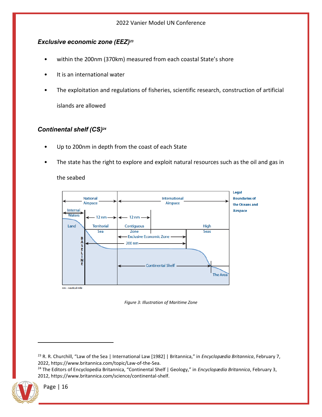## <span id="page-16-0"></span>*Exclusive economic zone (EEZ)<sup>23</sup>*

- within the 200nm (370km) measured from each coastal State's shore
- It is an international water
- The exploitation and regulations of fisheries, scientific research, construction of artificial

islands are allowed

## <span id="page-16-1"></span>*Continental shelf (CS)<sup>24</sup>*

- Up to 200nm in depth from the coast of each State
- The state has the right to explore and exploit natural resources such as the oil and gas in

the seabed





<sup>24</sup> The Editors of Encyclopedia Britannica, "Continental Shelf | Geology," in *Encyclopædia Britannica*, February 3, 2012, [https://www.britannica.com/science/continental-shelf.](https://www.britannica.com/science/continental-shelf)



<sup>23</sup> R. R. Churchill, "Law of the Sea | International Law [1982] | Britannica," in *Encyclopædia Britannica*, February 7, 2022, [https://www.britannica.com/topic/Law-of-the-Sea.](https://www.britannica.com/topic/Law-of-the-Sea)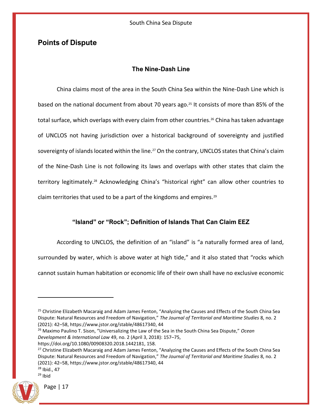## <span id="page-17-1"></span><span id="page-17-0"></span>**Points of Dispute**

## **The Nine-Dash Line**

China claims most of the area in the South China Sea within the Nine-Dash Line which is based on the national document from about 70 years ago.<sup>25</sup> It consists of more than 85% of the total surface, which overlaps with every claim from other countries.<sup>26</sup> China has taken advantage of UNCLOS not having jurisdiction over a historical background of sovereignty and justified sovereignty of islands located within the line.<sup>27</sup> On the contrary, UNCLOS states that China's claim of the Nine-Dash Line is not following its laws and overlaps with other states that claim the territory legitimately.<sup>28</sup> Acknowledging China's "historical right" can allow other countries to claim territories that used to be a part of the kingdoms and empires.<sup>29</sup>

## **"Island" or "Rock"; Definition of Islands That Can Claim EEZ**

<span id="page-17-2"></span>According to UNCLOS, the definition of an "island" is "a naturally formed area of land, surrounded by water, which is above water at high tide," and it also stated that "rocks which cannot sustain human habitation or economic life of their own shall have no exclusive economic

<sup>28</sup> Ibid., 47  $29$  Ibid



<sup>&</sup>lt;sup>25</sup> Christine Elizabeth Macaraig and Adam James Fenton, "Analyzing the Causes and Effects of the South China Sea Dispute: Natural Resources and Freedom of Navigation," *The Journal of Territorial and Maritime Studies* 8, no. 2 (2021): 42–58, [https://www.jstor.org/stable/48617340,](https://www.jstor.org/stable/48617340) 44

<sup>26</sup> Maximo Paulino T. Sison, "Universalizing the Law of the Sea in the South China Sea Dispute," *Ocean Development & International Law* 49, no. 2 (April 3, 2018): 157–75, [https://doi.org/10.1080/00908320.2018.1442181,](https://doi.org/10.1080/00908320.2018.1442181) 158.

<sup>&</sup>lt;sup>27</sup> Christine Elizabeth Macaraig and Adam James Fenton, "Analyzing the Causes and Effects of the South China Sea Dispute: Natural Resources and Freedom of Navigation," *The Journal of Territorial and Maritime Studies* 8, no. 2

<sup>(2021): 42</sup>–58, [https://www.jstor.org/stable/48617340,](https://www.jstor.org/stable/48617340) 44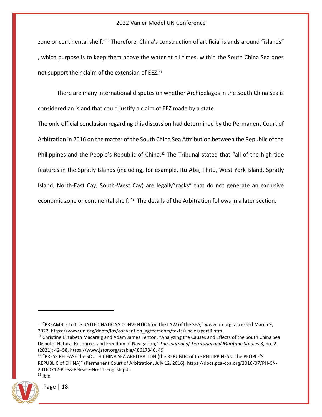zone or continental shelf."<sup>30</sup> Therefore, China's construction of artificial islands around "islands" , which purpose is to keep them above the water at all times, within the South China Sea does not support their claim of the extension of EEZ.<sup>31</sup>

There are many international disputes on whether Archipelagos in the South China Sea is considered an island that could justify a claim of EEZ made by a state.

The only official conclusion regarding this discussion had determined by the Permanent Court of Arbitration in 2016 on the matter of the South China Sea Attribution between the Republic of the Philippines and the People's Republic of China.<sup>32</sup> The Tribunal stated that "all of the high-tide features in the Spratly Islands (including, for example, Itu Aba, Thitu, West York Island, Spratly Island, North-East Cay, South-West Cay) are legally"rocks" that do not generate an exclusive economic zone or continental shelf."<sup>33</sup> The details of the Arbitration follows in a later section.

<sup>&</sup>lt;sup>32</sup> "PRESS RELEASE the SOUTH CHINA SEA ARBITRATION (the REPUBLIC of the PHILIPPINES v. the PEOPLE'S REPUBLIC of CHINA)" (Permanent Court of Arbitration, July 12, 2016), [https://docs.pca-cpa.org/2016/07/PH-CN-](https://docs.pca-cpa.org/2016/07/PH-CN-20160712-Press-Release-No-11-English.pdf)[20160712-Press-Release-No-11-English.pdf.](https://docs.pca-cpa.org/2016/07/PH-CN-20160712-Press-Release-No-11-English.pdf)  $33$  Ibid



<sup>&</sup>lt;sup>30</sup> "PREAMBLE to the UNITED NATIONS CONVENTION on the LAW of the SEA," www.un.org, accessed March 9, 2022, [https://www.un.org/depts/los/convention\\_agreements/texts/unclos/part8.htm.](https://www.un.org/depts/los/convention_agreements/texts/unclos/part8.htm)

<sup>&</sup>lt;sup>31</sup> Christine Elizabeth Macaraig and Adam James Fenton, "Analyzing the Causes and Effects of the South China Sea Dispute: Natural Resources and Freedom of Navigation," *The Journal of Territorial and Maritime Studies* 8, no. 2 (2021): 42–58, [https://www.jstor.org/stable/48617340,](https://www.jstor.org/stable/48617340) 49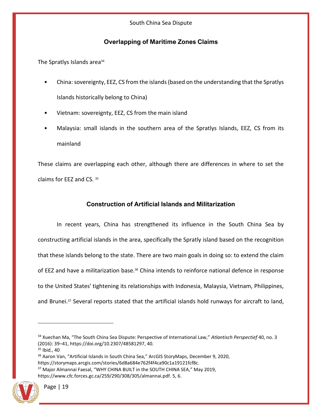## **Overlapping of Maritime Zones Claims**

<span id="page-19-0"></span>The Spratlys Islands area<sup>34</sup>

- China: sovereignty, EEZ, CS from the islands (based on the understanding that the Spratlys Islands historically belong to China)
- Vietnam: sovereignty, EEZ, CS from the main island
- Malaysia: small islands in the southern area of the Spratlys Islands, EEZ, CS from its mainland

These claims are overlapping each other, although there are differences in where to set the claims for EEZ and CS. <sup>35</sup>

## **Construction of Artificial Islands and Militarization**

<span id="page-19-1"></span>In recent years, China has strengthened its influence in the South China Sea by constructing artificial islands in the area, specifically the Spratly island based on the recognition that these islands belong to the state. There are two main goals in doing so: to extend the claim of EEZ and have a militarization base.<sup>36</sup> China intends to reinforce national defence in response to the United States' tightening its relationships with Indonesia, Malaysia, Vietnam, Philippines, and Brunei.<sup>37</sup> Several reports stated that the artificial islands hold runways for aircraft to land,

[https://www.cfc.forces.gc.ca/259/290/308/305/almannai.pdf.](https://www.cfc.forces.gc.ca/259/290/308/305/almannai.pdf) 5, 6.



<sup>34</sup> Xuechan Ma, "The South China Sea Dispute: Perspective of International Law," *Atlantisch Perspectief* 40, no. 3 (2016): 39–41, [https://doi.org/10.2307/48581297,](https://doi.org/10.2307/48581297) 40.

<sup>35</sup> Ibid., 40

<sup>&</sup>lt;sup>36</sup> Aaron Van, "Artificial Islands in South China Sea," ArcGIS StoryMaps, December 9, 2020, [https://storymaps.arcgis.com/stories/6d8a684e762f4f4ca90c1a19121fcf8c.](https://storymaps.arcgis.com/stories/6d8a684e762f4f4ca90c1a19121fcf8c)

<sup>&</sup>lt;sup>37</sup> Major Almannai Faesal, "WHY CHINA BUILT in the SOUTH CHINA SEA," May 2019,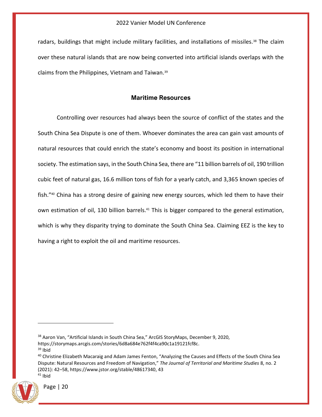radars, buildings that might include military facilities, and installations of missiles.<sup>38</sup> The claim over these natural islands that are now being converted into artificial islands overlaps with the claims from the Philippines, Vietnam and Taiwan.<sup>39</sup>

#### **Maritime Resources**

<span id="page-20-0"></span>Controlling over resources had always been the source of conflict of the states and the South China Sea Dispute is one of them. Whoever dominates the area can gain vast amounts of natural resources that could enrich the state's economy and boost its position in international society. The estimation says, in the South China Sea, there are "11 billion barrels of oil, 190 trillion cubic feet of natural gas, 16.6 million tons of fish for a yearly catch, and 3,365 known species of fish."<sup>40</sup> China has a strong desire of gaining new energy sources, which led them to have their own estimation of oil, 130 billion barrels.<sup>41</sup> This is bigger compared to the general estimation, which is why they disparity trying to dominate the South China Sea. Claiming EEZ is the key to having a right to exploit the oil and maritime resources.

 $39$  Ibid

<sup>&</sup>lt;sup>40</sup> Christine Elizabeth Macaraig and Adam James Fenton, "Analyzing the Causes and Effects of the South China Sea Dispute: Natural Resources and Freedom of Navigation," *The Journal of Territorial and Maritime Studies* 8, no. 2 (2021): 42–58, [https://www.jstor.org/stable/48617340,](https://www.jstor.org/stable/48617340) 43  $41$  Ibid



<sup>&</sup>lt;sup>38</sup> Aaron Van, "Artificial Islands in South China Sea," ArcGIS StoryMaps, December 9, 2020, [https://storymaps.arcgis.com/stories/6d8a684e762f4f4ca90c1a19121fcf8c.](https://storymaps.arcgis.com/stories/6d8a684e762f4f4ca90c1a19121fcf8c)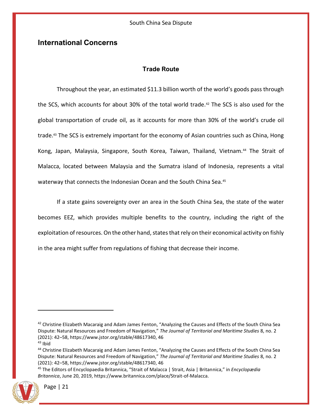## <span id="page-21-1"></span><span id="page-21-0"></span>**International Concerns**

## **Trade Route**

Throughout the year, an estimated \$11.3 billion worth of the world's goods pass through the SCS, which accounts for about 30% of the total world trade.<sup>42</sup> The SCS is also used for the global transportation of crude oil, as it accounts for more than 30% of the world's crude oil trade.<sup>43</sup> The SCS is extremely important for the economy of Asian countries such as China, Hong Kong, Japan, Malaysia, Singapore, South Korea, Taiwan, Thailand, Vietnam.<sup>44</sup> The Strait of Malacca, located between Malaysia and the Sumatra island of Indonesia, represents a vital waterway that connects the Indonesian Ocean and the South China Sea.<sup>45</sup>

If a state gains sovereignty over an area in the South China Sea, the state of the water becomes EEZ, which provides multiple benefits to the country, including the right of the exploitation of resources. On the other hand, states that rely on their economical activity on fishly in the area might suffer from regulations of fishing that decrease their income.

<sup>45</sup> The Editors of Encyclopaedia Britannica, "Strait of Malacca | Strait, Asia | Britannica," in *Encyclopædia Britannica*, June 20, 2019, [https://www.britannica.com/place/Strait-of-Malacca.](https://www.britannica.com/place/Strait-of-Malacca)



 $42$  Christine Elizabeth Macaraig and Adam James Fenton, "Analyzing the Causes and Effects of the South China Sea Dispute: Natural Resources and Freedom of Navigation," *The Journal of Territorial and Maritime Studies* 8, no. 2 (2021): 42–58, [https://www.jstor.org/stable/48617340,](https://www.jstor.org/stable/48617340) 46  $43$  Ibid

<sup>44</sup> Christine Elizabeth Macaraig and Adam James Fenton, "Analyzing the Causes and Effects of the South China Sea Dispute: Natural Resources and Freedom of Navigation," *The Journal of Territorial and Maritime Studies* 8, no. 2 (2021): 42–58, [https://www.jstor.org/stable/48617340,](https://www.jstor.org/stable/48617340) 46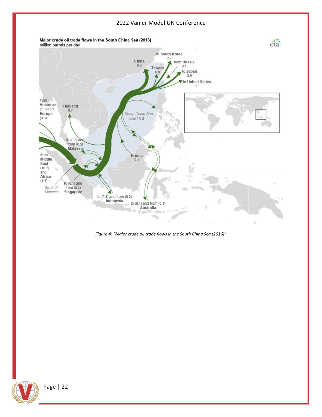

*Figure 4: "Major crude oil trade flows in the South China Sea (2016)"*

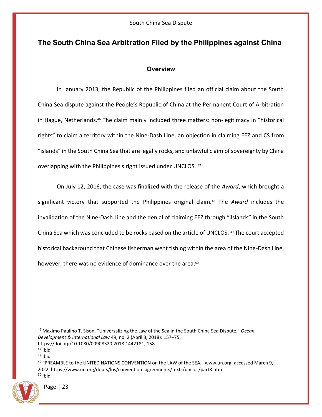## <span id="page-23-1"></span><span id="page-23-0"></span>**The South China Sea Arbitration Filed by the Philippines against China**

## **Overview**

In January 2013, the Republic of the Philippines filed an official claim about the South China Sea dispute against the People's Republic of China at the Permanent Court of Arbitration in Hague, Netherlands.<sup>46</sup> The claim mainly included three matters: non-legitimacy in "historical rights" to claim a territory within the Nine-Dash Line, an objection in claiming EEZ and CS from "islands" in the South China Sea that are legally rocks, and unlawful claim of sovereignty by China overlapping with the Philippines's right issued under UNCLOS. <sup>47</sup>

On July 12, 2016, the case was finalized with the release of the *Award*, which brought a significant victory that supported the Philippines original claim.<sup>48</sup> The *Award* includes the invalidation of the Nine-Dash Line and the denial of claiming EEZ through "ilslands" in the South China Sea which was concluded to be rocks based on the article of UNCLOS. <sup>49</sup> The court accepted historical background that Chinese fisherman went fishing within the area of the Nine-Dash Line, however, there was no evidence of dominance over the area.<sup>50</sup>

<sup>49</sup> "PREAMBLE to the UNITED NATIONS CONVENTION on the LAW of the SEA," www.un.org, accessed March 9, 2022, [https://www.un.org/depts/los/convention\\_agreements/texts/unclos/part8.htm.](https://www.un.org/depts/los/convention_agreements/texts/unclos/part8.htm)  $50$  Ibid



<sup>46</sup> Maximo Paulino T. Sison, "Universalizing the Law of the Sea in the South China Sea Dispute," *Ocean Development & International Law* 49, no. 2 (April 3, 2018): 157–75, [https://doi.org/10.1080/00908320.2018.1442181,](https://doi.org/10.1080/00908320.2018.1442181) 158.

<sup>47</sup> Ibid

<sup>48</sup> Ibid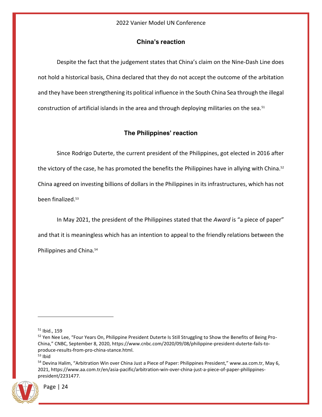## **China's reaction**

<span id="page-24-0"></span>Despite the fact that the judgement states that China's claim on the Nine-Dash Line does not hold a historical basis, China declared that they do not accept the outcome of the arbitation and they have been strengthening its political influence in the South China Sea through the illegal construction of artificial islands in the area and through deploying militaries on the sea.<sup>51</sup>

## **The Philippines' reaction**

<span id="page-24-1"></span>Since Rodrigo Duterte, the current president of the Philippines, got elected in 2016 after the victory of the case, he has promoted the benefits the Philippines have in allying with China.<sup>52</sup> China agreed on investing billions of dollars in the Philippines in its infrastructures, which has not been finalized.<sup>53</sup>

In May 2021, the president of the Philippines stated that the *Award* is "a piece of paper" and that it is meaningless which has an intention to appeal to the friendly relations between the Philippines and China.<sup>54</sup>

<sup>54</sup> Devina Halim, "Arbitration Win over China Just a Piece of Paper: Philippines President," www.aa.com.tr, May 6, 2021, [https://www.aa.com.tr/en/asia-pacific/arbitration-win-over-china-just-a-piece-of-paper-philippines](https://www.aa.com.tr/en/asia-pacific/arbitration-win-over-china-just-a-piece-of-paper-philippines-president/2231477)[president/2231477.](https://www.aa.com.tr/en/asia-pacific/arbitration-win-over-china-just-a-piece-of-paper-philippines-president/2231477)



<sup>51</sup> Ibid., 159

<sup>&</sup>lt;sup>52</sup> Yen Nee Lee, "Four Years On, Philippine President Duterte Is Still Struggling to Show the Benefits of Being Pro-China," CNBC, September 8, 2020, [https://www.cnbc.com/2020/09/08/philippine-president-duterte-fails-to](https://www.cnbc.com/2020/09/08/philippine-president-duterte-fails-to-produce-results-from-pro-china-stance.html)[produce-results-from-pro-china-stance.html.](https://www.cnbc.com/2020/09/08/philippine-president-duterte-fails-to-produce-results-from-pro-china-stance.html)

 $53$  Ibid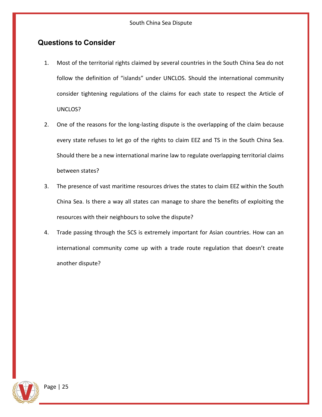## <span id="page-25-0"></span>**Questions to Consider**

- 1. Most of the territorial rights claimed by several countries in the South China Sea do not follow the definition of "islands" under UNCLOS. Should the international community consider tightening regulations of the claims for each state to respect the Article of UNCLOS?
- 2. One of the reasons for the long-lasting dispute is the overlapping of the claim because every state refuses to let go of the rights to claim EEZ and TS in the South China Sea. Should there be a new international marine law to regulate overlapping territorial claims between states?
- 3. The presence of vast maritime resources drives the states to claim EEZ within the South China Sea. Is there a way all states can manage to share the benefits of exploiting the resources with their neighbours to solve the dispute?
- 4. Trade passing through the SCS is extremely important for Asian countries. How can an international community come up with a trade route regulation that doesn't create another dispute?

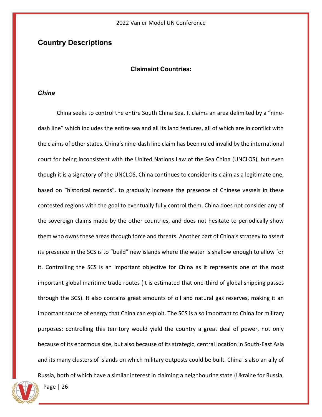## <span id="page-26-1"></span><span id="page-26-0"></span>**Country Descriptions**

#### **Claimaint Countries:**

#### <span id="page-26-2"></span>*China*

China seeks to control the entire South China Sea. It claims an area delimited by a "ninedash line" which includes the entire sea and all its land features, all of which are in conflict with the claims of other states. China's nine-dash line claim has been ruled invalid by the international court for being inconsistent with the United Nations Law of the Sea China (UNCLOS), but even though it is a signatory of the UNCLOS, China continues to consider its claim as a legitimate one, based on "historical records". to gradually increase the presence of Chinese vessels in these contested regions with the goal to eventually fully control them. China does not consider any of the sovereign claims made by the other countries, and does not hesitate to periodically show them who owns these areas through force and threats. Another part of China's strategy to assert its presence in the SCS is to "build" new islands where the water is shallow enough to allow for it. Controlling the SCS is an important objective for China as it represents one of the most important global maritime trade routes (it is estimated that one-third of global shipping passes through the SCS). It also contains great amounts of oil and natural gas reserves, making it an important source of energy that China can exploit. The SCS is also important to China for military purposes: controlling this territory would yield the country a great deal of power, not only because of its enormous size, but also because of its strategic, central location in South-East Asia and its many clusters of islands on which military outposts could be built. China is also an ally of

Russia, both of which have a similar interest in claiming a neighbouring state (Ukraine for Russia,

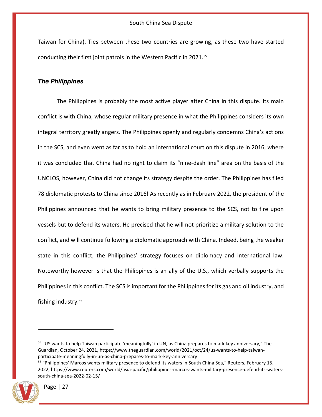Taiwan for China). Ties between these two countries are growing, as these two have started conducting their first joint patrols in the Western Pacific in 2021.<sup>55</sup>

#### <span id="page-27-0"></span>*The Philippines*

The Philippines is probably the most active player after China in this dispute. Its main conflict is with China, whose regular military presence in what the Philippines considers its own integral territory greatly angers. The Philippines openly and regularly condemns China's actions in the SCS, and even went as far as to hold an international court on this dispute in 2016, where it was concluded that China had no right to claim its "nine-dash line" area on the basis of the UNCLOS, however, China did not change its strategy despite the order. The Philippines has filed 78 diplomatic protests to China since 2016! As recently as in February 2022, the president of the Philippines announced that he wants to bring military presence to the SCS, not to fire upon vessels but to defend its waters. He precised that he will not prioritize a military solution to the conflict, and will continue following a diplomatic approach with China. Indeed, being the weaker state in this conflict, the Philippines' strategy focuses on diplomacy and international law. Noteworthy however is that the Philippines is an ally of the U.S., which verbally supports the Philippines in this conflict. The SCS is important for the Philippines for its gas and oil industry, and fishing industry.<sup>56</sup>

<sup>&</sup>lt;sup>56</sup> "Philippines' Marcos wants military presence to defend its waters in South China Sea," Reuters, February 15, 2022, [https://www.reuters.com/world/asia-pacific/philippines-marcos-wants-military-presence-defend-its-waters](https://www.reuters.com/world/asia-pacific/philippines-marcos-wants-military-presence-defend-its-waters-south-china-sea-2022-02-15/)[south-china-sea-2022-02-15/](https://www.reuters.com/world/asia-pacific/philippines-marcos-wants-military-presence-defend-its-waters-south-china-sea-2022-02-15/)



<sup>&</sup>lt;sup>55</sup> "US wants to help Taiwan participate 'meaningfully' in UN, as China prepares to mark key anniversary," The Guardian, October 24, 2021[, https://www.theguardian.com/world/2021/oct/24/us-wants-to-help-taiwan](https://www.theguardian.com/world/2021/oct/24/us-wants-to-help-taiwan-participate-meaningfully-in-un-as-china-prepares-to-mark-key-anniversary)[participate-meaningfully-in-un-as-china-prepares-to-mark-key-anniversary](https://www.theguardian.com/world/2021/oct/24/us-wants-to-help-taiwan-participate-meaningfully-in-un-as-china-prepares-to-mark-key-anniversary)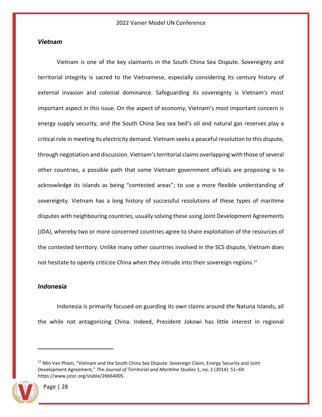#### <span id="page-28-0"></span>*Vietnam*

Vietnam is one of the key claimants in the South China Sea Dispute. Sovereignty and territorial integrity is sacred to the Vietnamese, especially considering its century history of external invasion and colonial dominance. Safeguarding its sovereignty is Vietnam's most important aspect in this issue. On the aspect of economy, Vietnam's most important concern is energy supply security, and the South China Sea sea bed's oil and natural gas reserves play a critical role in meeting its electricity demand. Vietnam seeks a peaceful resolution to this dispute, through negotiation and discussion. Vietnam's territorial claims overlapping with those of several other countries, a possible path that some Vietnam government officials are proposing is to acknowledge its islands as being "contested areas"; to use a more flexible understanding of sovereignty. Vietnam has a long history of successful resolutions of these types of maritime disputes with neighbouring countries, usually solving these using Joint Development Agreements (JDA), whereby two or more concerned countries agree to share exploitation of the resources of the contested territory. Unlike many other countries involved in the SCS dispute, Vietnam does not hesitate to openly criticize China when they intrude into their sovereign regions.<sup>57</sup>

#### <span id="page-28-1"></span>*Indonesia*

Indonesia is primarily focused on guarding its own claims around the Natuna Islands, all the while not antagonizing China. Indeed, President Jokowi has little interest in regional

<sup>&</sup>lt;sup>57</sup> Min Van Pham, "Vietnam and the South China Sea Dispute: Sovereign Claim, Energy Security and Joint Development Agreement," *The Journal of Territorial and Maritime Studies* 1, no. 2 (2014): 51–69. [https://www.jstor.org/stable/26664005.](https://www.jstor.org/stable/26664005)

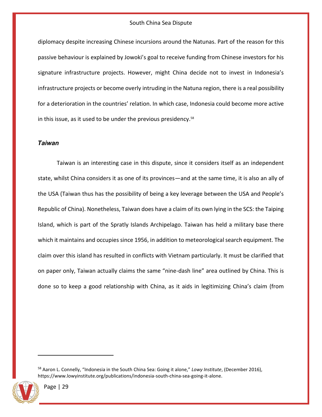diplomacy despite increasing Chinese incursions around the Natunas. Part of the reason for this passive behaviour is explained by Jowoki's goal to receive funding from Chinese investors for his signature infrastructure projects. However, might China decide not to invest in Indonesia's infrastructure projects or become overly intruding in the Natuna region, there is a real possibility for a deterioration in the countries' relation. In which case, Indonesia could become more active in this issue, as it used to be under the previous presidency.<sup>58</sup>

#### <span id="page-29-0"></span>*Taiwan*

Taiwan is an interesting case in this dispute, since it considers itself as an independent state, whilst China considers it as one of its provinces—and at the same time, it is also an ally of the USA (Taiwan thus has the possibility of being a key leverage between the USA and People's Republic of China). Nonetheless, Taiwan does have a claim of its own lying in the SCS: the Taiping Island, which is part of the Spratly Islands Archipelago. Taiwan has held a military base there which it maintains and occupies since 1956, in addition to meteorological search equipment. The claim over this island has resulted in conflicts with Vietnam particularly. It must be clarified that on paper only, Taiwan actually claims the same "nine-dash line" area outlined by China. This is done so to keep a good relationship with China, as it aids in legitimizing China's claim (from

<sup>58</sup> Aaron L. Connelly, "Indonesia in the South China Sea: Going it alone," *Lowy Institute*, (December 2016), [https://www.lowyinstitute.org/publications/indonesia-south-china-sea-going-it-alone.](https://www.lowyinstitute.org/publications/indonesia-south-china-sea-going-it-alone)

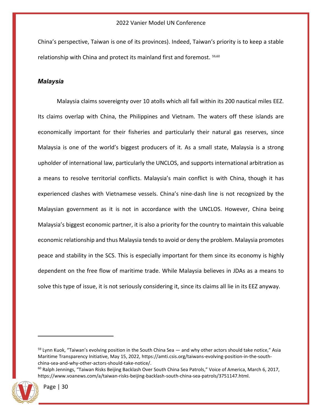China's perspective, Taiwan is one of its provinces). Indeed, Taiwan's priority is to keep a stable relationship with China and protect its mainland first and foremost. 59,<sup>60</sup>

#### <span id="page-30-0"></span>*Malaysia*

Malaysia claims sovereignty over 10 atolls which all fall within its 200 nautical miles EEZ. Its claims overlap with China, the Philippines and Vietnam. The waters off these islands are economically important for their fisheries and particularly their natural gas reserves, since Malaysia is one of the world's biggest producers of it. As a small state, Malaysia is a strong upholder of international law, particularly the UNCLOS, and supports international arbitration as a means to resolve territorial conflicts. Malaysia's main conflict is with China, though it has experienced clashes with Vietnamese vessels. China's nine-dash line is not recognized by the Malaysian government as it is not in accordance with the UNCLOS. However, China being Malaysia's biggest economic partner, it is also a priority for the country to maintain this valuable economic relationship and thus Malaysia tends to avoid or deny the problem. Malaysia promotes peace and stability in the SCS. This is especially important for them since its economy is highly dependent on the free flow of maritime trade. While Malaysia believes in JDAs as a means to solve this type of issue, it is not seriously considering it, since its claims all lie in its EEZ anyway.

 $60$  Ralph Jennings, "Taiwan Risks Beijing Backlash Over South China Sea Patrols," Voice of America, March 6, 2017, [https://www.voanews.com/a/taiwan-risks-beijing-backlash-south-china-sea-patrols/3751147.html.](https://www.voanews.com/a/taiwan-risks-beijing-backlash-south-china-sea-patrols/3751147.html)



<sup>&</sup>lt;sup>59</sup> Lynn Kuok, "Taiwan's evolving position in the South China Sea — and why other actors should take notice," Asia Maritime Transparency Initiative, May 15, 2022[, https://amti.csis.org/taiwans-evolving-position-in-the-south](https://amti.csis.org/taiwans-evolving-position-in-the-south-china-sea-and-why-other-actors-should-take-notice/)[china-sea-and-why-other-actors-should-take-notice/.](https://amti.csis.org/taiwans-evolving-position-in-the-south-china-sea-and-why-other-actors-should-take-notice/)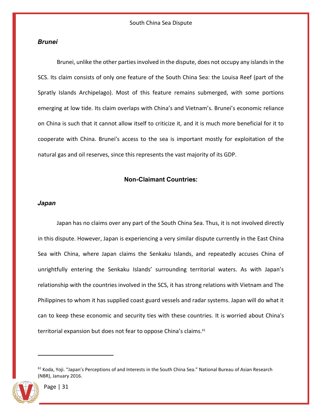#### <span id="page-31-0"></span>*Brunei*

Brunei, unlike the other parties involved in the dispute, does not occupy any islands in the SCS. Its claim consists of only one feature of the South China Sea: the Louisa Reef (part of the Spratly Islands Archipelago). Most of this feature remains submerged, with some portions emerging at low tide. Its claim overlaps with China's and Vietnam's. Brunei's economic reliance on China is such that it cannot allow itself to criticize it, and it is much more beneficial for it to cooperate with China. Brunei's access to the sea is important mostly for exploitation of the natural gas and oil reserves, since this represents the vast majority of its GDP.

#### **Non-Claimant Countries:**

#### <span id="page-31-2"></span><span id="page-31-1"></span>*Japan*

Japan has no claims over any part of the South China Sea. Thus, it is not involved directly in this dispute. However, Japan is experiencing a very similar dispute currently in the East China Sea with China, where Japan claims the Senkaku Islands, and repeatedly accuses China of unrightfully entering the Senkaku Islands' surrounding territorial waters. As with Japan's relationship with the countries involved in the SCS, it has strong relations with Vietnam and The Philippines to whom it has supplied coast guard vessels and radar systems. Japan will do what it can to keep these economic and security ties with these countries. It is worried about China's territorial expansion but does not fear to oppose China's claims.<sup>61</sup>

<sup>61</sup> Koda, Yoji. "Japan's Perceptions of and Interests in the South China Sea." National Bureau of Asian Research (NBR), January 2016.

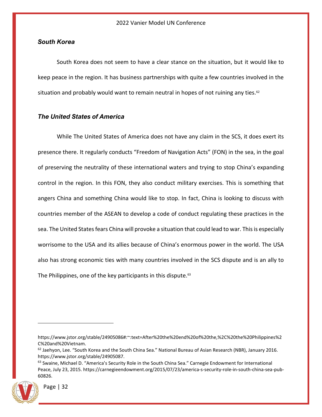#### <span id="page-32-0"></span>*South Korea*

South Korea does not seem to have a clear stance on the situation, but it would like to keep peace in the region. It has business partnerships with quite a few countries involved in the situation and probably would want to remain neutral in hopes of not ruining any ties. $62$ 

## <span id="page-32-1"></span>*The United States of America*

While The United States of America does not have any claim in the SCS, it does exert its presence there. It regularly conducts "Freedom of Navigation Acts" (FON) in the sea, in the goal of preserving the neutrality of these international waters and trying to stop China's expanding control in the region. In this FON, they also conduct military exercises. This is something that angers China and something China would like to stop. In fact, China is looking to discuss with countries member of the ASEAN to develop a code of conduct regulating these practices in the sea. The United States fears China will provoke a situation that could lead to war. This is especially worrisome to the USA and its allies because of China's enormous power in the world. The USA also has strong economic ties with many countries involved in the SCS dispute and is an ally to The Philippines, one of the key participants in this dispute.<sup>63</sup>

<sup>&</sup>lt;sup>63</sup> Swaine, Michael D. "America's Security Role in the South China Sea." Carnegie Endowment for International Peace, July 23, 2015. https://carnegieendowment.org/2015/07/23/america-s-security-role-in-south-china-sea-pub-60826.



https://www.jstor.org/stable/24905086#:~:text=After%20the%20end%20of%20the,%2C%20the%20Philippines%2 C%20and%20Vietnam.

 $62$  Jaehyon, Lee. "South Korea and the South China Sea." National Bureau of Asian Research (NBR), January 2016. https://www.jstor.org/stable/24905087.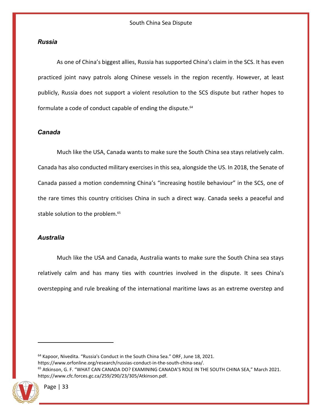#### <span id="page-33-0"></span>*Russia*

As one of China's biggest allies, Russia has supported China's claim in the SCS. It has even practiced joint navy patrols along Chinese vessels in the region recently. However, at least publicly, Russia does not support a violent resolution to the SCS dispute but rather hopes to formulate a code of conduct capable of ending the dispute.<sup>64</sup>

#### <span id="page-33-1"></span>*Canada*

Much like the USA, Canada wants to make sure the South China sea stays relatively calm. Canada has also conducted military exercises in this sea, alongside the US. In 2018, the Senate of Canada passed a motion condemning China's "increasing hostile behaviour" in the SCS, one of the rare times this country criticises China in such a direct way. Canada seeks a peaceful and stable solution to the problem.<sup>65</sup>

#### <span id="page-33-2"></span>*Australia*

Much like the USA and Canada, Australia wants to make sure the South China sea stays relatively calm and has many ties with countries involved in the dispute. It sees China's overstepping and rule breaking of the international maritime laws as an extreme overstep and

<sup>64</sup> Kapoor, Nivedita. "Russia's Conduct in the South China Sea." ORF, June 18, 2021. https://www.orfonline.org/research/russias-conduct-in-the-south-china-sea/. <sup>65</sup> Atkinson, G. F. "WHAT CAN CANADA DO? EXAMINING CANADA'S ROLE IN THE SOUTH CHINA SEA," March 2021. https://www.cfc.forces.gc.ca/259/290/23/305/Atkinson.pdf.

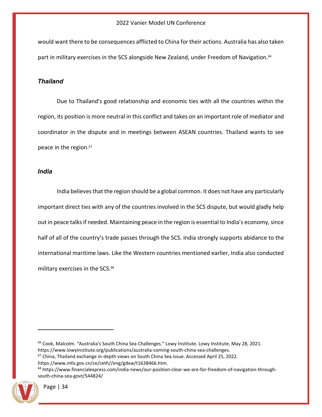would want there to be consequences afflicted to China for their actions. Australia has also taken part in military exercises in the SCS alongside New Zealand, under Freedom of Navigation.<sup>66</sup>

## <span id="page-34-0"></span>*Thailand*

Due to Thailand's good relationship and economic ties with all the countries within the region, its position is more neutral in this conflict and takes on an important role of mediator and coordinator in the dispute and in meetings between ASEAN countries. Thailand wants to see peace in the region.<sup>67</sup>

#### <span id="page-34-1"></span>*India*

India believes that the region should be a global common. It does not have any particularly important direct ties with any of the countries involved in the SCS dispute, but would gladly help out in peace talks if needed. Maintaining peace in the region is essential to India's economy, since half of all of the country's trade passes through the SCS. India strongly supports abidance to the international maritime laws. Like the Western countries mentioned earlier, India also conducted military exercises in the SCS.<sup>68</sup>

<sup>66</sup> Cook, Malcolm. "Australia's South China Sea Challenges." Lowy Institute. Lowy Institute, May 28, 2021. https://www.lowyinstitute.org/publications/australia-coming-south-china-sea-challenges.

- $67$  China, Thailand exchange in-depth views on South China Sea issue. Accessed April 25, 2022.
- https://www.mfa.gov.cn/ce/ceth//eng/gdxw/t1638466.htm.

<sup>68</sup> https://www.financialexpress.com/india-news/our-position-clear-we-are-for-freedom-of-navigation-throughsouth-china-sea-govt/544824/

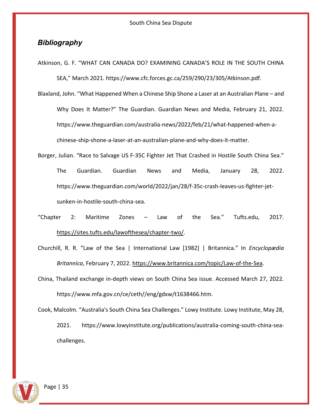## <span id="page-35-0"></span>*Bibliography*

Atkinson, G. F. "WHAT CAN CANADA DO? EXAMINING CANADA'S ROLE IN THE SOUTH CHINA SEA," March 2021. https://www.cfc.forces.gc.ca/259/290/23/305/Atkinson.pdf.

Blaxland, John. "What Happened When a Chinese Ship Shone a Laser at an Australian Plane – and Why Does It Matter?" The Guardian. Guardian News and Media, February 21, 2022. [https://www.theguardian.com/australia-news/2022/feb/21/what-happened-when-a](https://www.theguardian.com/australia-news/2022/feb/21/what-happened-when-a-chinese-ship-)[chinese-ship-s](https://www.theguardian.com/australia-news/2022/feb/21/what-happened-when-a-chinese-ship-)hone-a-laser-at-an-australian-plane-and-why-does-it-matter.

- Borger, Julian. "Race to Salvage US F-35C Fighter Jet That Crashed in Hostile South China Sea." The Guardian. Guardian News and Media, January 28, 2022. [https://www.theguardian.com/world/2022/jan/28/f-35c-crash-leaves-us-fighter-jet](https://www.theguardian.com/world/2022/jan/28/f-35c-crash-leaves-us-fighter-jet-sunken-)[sunken-i](https://www.theguardian.com/world/2022/jan/28/f-35c-crash-leaves-us-fighter-jet-sunken-)n-hostile-south-china-sea.
- "Chapter 2: Maritime Zones Law of the Sea." Tufts.edu, 2017. [https://sites.tufts.edu/lawofthesea/chapter-two/.](https://sites.tufts.edu/lawofthesea/chapter-two/)

Churchill, R. R. "Law of the Sea | International Law [1982] | Britannica." In *Encyclopædia Britannica*, February 7, 2022. [https://www.britannica.com/topic/Law-of-the-Sea.](https://www.britannica.com/topic/Law-of-the-Sea)

China, Thailand exchange in-depth views on South China Sea issue. Accessed March 27, 2022. https://www.mfa.gov.cn/ce/ceth//eng/gdxw/t1638466.htm.

Cook, Malcolm. "Australia's South China Sea Challenges." Lowy Institute. Lowy Institute, May 28, 2021. https://www.lowyinstitute.org/publications/australia-coming-south-china-seachallenges.

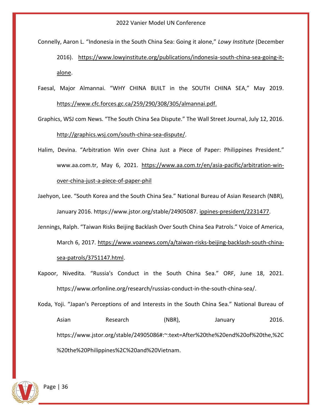Connelly, Aaron L. "Indonesia in the South China Sea: Going it alone," *Lowy Institute* (December

2016). [https://www.lowyinstitute.org/publications/indonesia-south-china-sea-going-it](https://www.lowyinstitute.org/publications/indonesia-south-china-sea-going-it-alone)[alone.](https://www.lowyinstitute.org/publications/indonesia-south-china-sea-going-it-alone)

Faesal, Major Almannai. "WHY CHINA BUILT in the SOUTH CHINA SEA," May 2019. <https://www.cfc.forces.gc.ca/259/290/308/305/almannai.pdf.>

Graphics, WSJ com News. "The South China Sea Dispute." The Wall Street Journal, July 12, 2016. [http://graphics.wsj.com/south-china-sea-dispute/.](http://graphics.wsj.com/south-china-sea-dispute/)

Halim, Devina. "Arbitration Win over China Just a Piece of Paper: Philippines President." www.aa.com.tr, May 6, 2021. [https://www.aa.com.tr/en/asia-pacific/arbitration-win](https://www.aa.com.tr/en/asia-pacific/arbitration-win-over-china-just-a-piece-of-paper-philippines-president/2231477)[over-china-just-a-piece-of-paper-phil](https://www.aa.com.tr/en/asia-pacific/arbitration-win-over-china-just-a-piece-of-paper-philippines-president/2231477)

Jaehyon, Lee. "South Korea and the South China Sea." National Bureau of Asian Research (NBR), January 2016. https://www.jstor.org/stable/24905087. [ippines-president/2231477.](https://www.aa.com.tr/en/asia-pacific/arbitration-win-over-china-just-a-piece-of-paper-philippines-president/2231477)

Jennings, Ralph. "Taiwan Risks Beijing Backlash Over South China Sea Patrols." Voice of America, March 6, 2017. [https://www.voanews.com/a/taiwan-risks-beijing-backlash-south-china](https://www.voanews.com/a/taiwan-risks-beijing-backlash-south-china-sea-patrols/3751147.html)[sea-patrols/3751147.html.](https://www.voanews.com/a/taiwan-risks-beijing-backlash-south-china-sea-patrols/3751147.html)

Kapoor, Nivedita. "Russia's Conduct in the South China Sea." ORF, June 18, 2021. https://www.orfonline.org/research/russias-conduct-in-the-south-china-sea/.

Koda, Yoji. "Japan's Perceptions of and Interests in the South China Sea." National Bureau of Asian Research (NBR), January 2016. https://www.jstor.org/stable/24905086#:~:text=After%20the%20end%20of%20the,%2C %20the%20Philippines%2C%20and%20Vietnam.

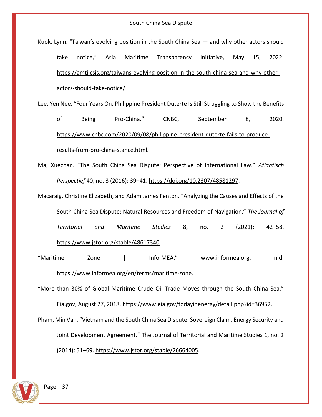Kuok, Lynn. "Taiwan's evolving position in the South China Sea — and why other actors should take notice," Asia Maritime Transparency Initiative, May 15, 2022. [https://amti.csis.org/taiwans-evolving-position-in-the-south-china-sea-and-why-other](https://amti.csis.org/taiwans-evolving-position-in-the-south-china-sea-and-why-other-actors-should-take-notice/)[actors-should-take-notice/.](https://amti.csis.org/taiwans-evolving-position-in-the-south-china-sea-and-why-other-actors-should-take-notice/)

Lee, Yen Nee. "Four Years On, Philippine President Duterte Is Still Struggling to Show the Benefits

of Being Pro-China." CNBC, September 8, 2020. [https://www.cnbc.com/2020/09/08/philippine-president-duterte-fails-to-produce](https://www.cnbc.com/2020/09/08/philippine-president-duterte-fails-to-produce-results-from-pro-china-stance.html)[results-from-pro-china-stance.html.](https://www.cnbc.com/2020/09/08/philippine-president-duterte-fails-to-produce-results-from-pro-china-stance.html)

- Ma, Xuechan. "The South China Sea Dispute: Perspective of International Law." *Atlantisch Perspectief* 40, no. 3 (2016): 39–41. [https://doi.org/10.2307/48581297.](https://doi.org/10.2307/48581297)
- Macaraig, Christine Elizabeth, and Adam James Fenton. "Analyzing the Causes and Effects of the South China Sea Dispute: Natural Resources and Freedom of Navigation." *The Journal of Territorial and Maritime Studies* 8, no. 2 (2021): 42–58. [https://www.jstor.org/stable/48617340.](https://www.jstor.org/stable/48617340)

"Maritime Zone | InforMEA." www.informea.org, n.d. [https://www.informea.org/en/terms/maritime-zone.](https://www.informea.org/en/terms/maritime-zone)

"More than 30% of Global Maritime Crude Oil Trade Moves through the South China Sea." Eia.gov, August 27, 2018. [https://www.eia.gov/todayinenergy/detail.php?id=36952.](https://www.eia.gov/todayinenergy/detail.php?id=36952)

Pham, Min Van. "Vietnam and the South China Sea Dispute: Sovereign Claim, Energy Security and Joint Development Agreement." The Journal of Territorial and Maritime Studies 1, no. 2 (2014): 51–69. [https://www.jstor.org/stable/26664005.](https://www.jstor.org/stable/26664005)

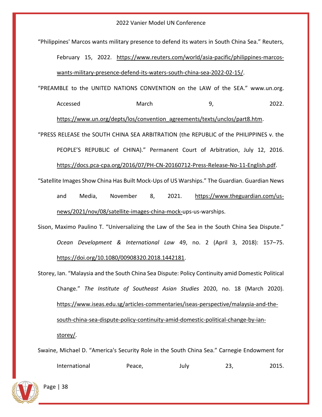"Philippines' Marcos wants military presence to defend its waters in South China Sea." Reuters, February 15, 2022. [https://www.reuters.com/world/asia-pacific/philippines-marcos](https://www.reuters.com/world/asia-pacific/philippines-marcos-wants-military-presence-defend-its-waters-south-china-sea-2022-02-15/)[wants-military-presence-defend-its-waters-south-china-sea-2022-02-15/.](https://www.reuters.com/world/asia-pacific/philippines-marcos-wants-military-presence-defend-its-waters-south-china-sea-2022-02-15/) "PREAMBLE to the UNITED NATIONS CONVENTION on the LAW of the SEA." www.un.org.

Accessed March 19, 2022.

[https://www.un.org/depts/los/convention\\_agreements/texts/unclos/part8.htm.](https://www.un.org/depts/los/convention_agreements/texts/unclos/part8.htm)

"PRESS RELEASE the SOUTH CHINA SEA ARBITRATION (the REPUBLIC of the PHILIPPINES v. the PEOPLE'S REPUBLIC of CHINA)." Permanent Court of Arbitration, July 12, 2016. [https://docs.pca-cpa.org/2016/07/PH-CN-20160712-Press-Release-No-11-English.pdf.](https://docs.pca-cpa.org/2016/07/PH-CN-20160712-Press-Release-No-11-English.pdf)

"Satellite Images Show China Has Built Mock-Ups of US Warships." The Guardian. Guardian News and Media, November 8, 2021. [https://www.theguardian.com/us](https://www.theguardian.com/us-news/2021/nov/08/satellite-images-china-mock-)[news/2021/nov/08/satellite-images-china-mock-u](https://www.theguardian.com/us-news/2021/nov/08/satellite-images-china-mock-)ps-us-warships.

- Sison, Maximo Paulino T. "Universalizing the Law of the Sea in the South China Sea Dispute." *Ocean Development & International Law* 49, no. 2 (April 3, 2018): 157–75. [https://doi.org/10.1080/00908320.2018.1442181.](https://doi.org/10.1080/00908320.2018.1442181)
- Storey, Ian. "Malaysia and the South China Sea Dispute: Policy Continuity amid Domestic Political Change." *The Institute of Southeast Asian Studies* 2020, no. 18 (March 2020). [https://www.iseas.edu.sg/articles-commentaries/iseas-perspective/malaysia-and-the](https://www.iseas.edu.sg/articles-commentaries/iseas-perspective/malaysia-and-the-south-china-sea-dispute-policy-continuity-amid-domestic-political-change-by-ian-storey/)[south-china-sea-dispute-policy-continuity-amid-domestic-political-change-by-ian](https://www.iseas.edu.sg/articles-commentaries/iseas-perspective/malaysia-and-the-south-china-sea-dispute-policy-continuity-amid-domestic-political-change-by-ian-storey/)[storey/.](https://www.iseas.edu.sg/articles-commentaries/iseas-perspective/malaysia-and-the-south-china-sea-dispute-policy-continuity-amid-domestic-political-change-by-ian-storey/)

Swaine, Michael D. "America's Security Role in the South China Sea." Carnegie Endowment for International Peace, July 23, 2015.